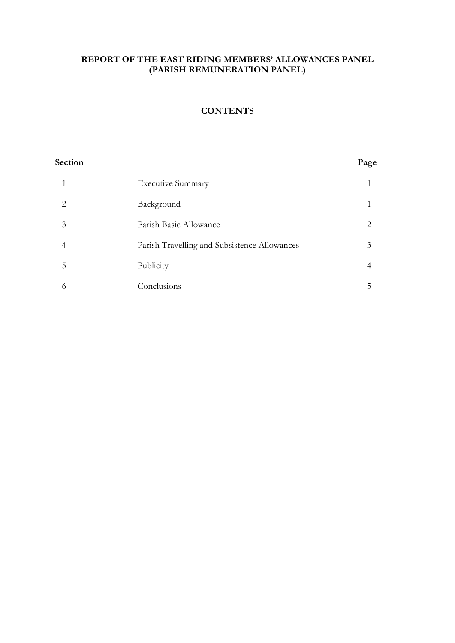# REPORT OF THE EAST RIDING MEMBERS' ALLOWANCES PANEL (PARISH REMUNERATION PANEL)

# **CONTENTS**

#### Section Page

|   | <b>Executive Summary</b>                     |    |
|---|----------------------------------------------|----|
|   | Background                                   |    |
| 3 | Parish Basic Allowance                       | 2  |
|   | Parish Travelling and Subsistence Allowances | 3  |
| ל | Publicity                                    | 4  |
|   | Conclusions                                  | C. |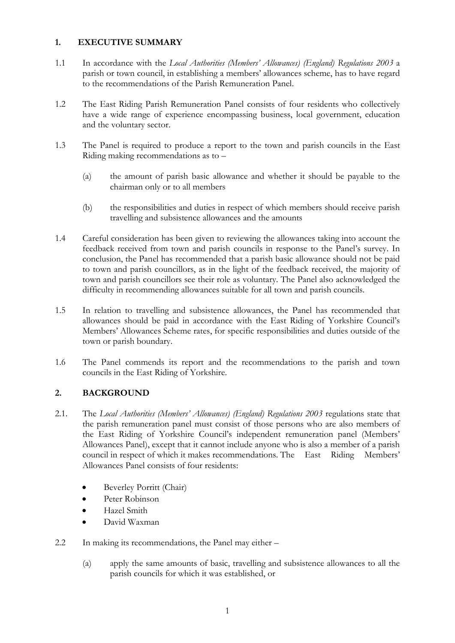#### 1. EXECUTIVE SUMMARY

- 1.1 In accordance with the Local Authorities (Members' Allowances) (England) Regulations 2003 a parish or town council, in establishing a members' allowances scheme, has to have regard to the recommendations of the Parish Remuneration Panel.
- 1.2 The East Riding Parish Remuneration Panel consists of four residents who collectively have a wide range of experience encompassing business, local government, education and the voluntary sector.
- 1.3 The Panel is required to produce a report to the town and parish councils in the East Riding making recommendations as to –
	- (a) the amount of parish basic allowance and whether it should be payable to the chairman only or to all members
	- (b) the responsibilities and duties in respect of which members should receive parish travelling and subsistence allowances and the amounts
- 1.4 Careful consideration has been given to reviewing the allowances taking into account the feedback received from town and parish councils in response to the Panel's survey. In conclusion, the Panel has recommended that a parish basic allowance should not be paid to town and parish councillors, as in the light of the feedback received, the majority of town and parish councillors see their role as voluntary. The Panel also acknowledged the difficulty in recommending allowances suitable for all town and parish councils.
- 1.5 In relation to travelling and subsistence allowances, the Panel has recommended that allowances should be paid in accordance with the East Riding of Yorkshire Council's Members' Allowances Scheme rates, for specific responsibilities and duties outside of the town or parish boundary.
- 1.6 The Panel commends its report and the recommendations to the parish and town councils in the East Riding of Yorkshire.

# 2. BACKGROUND

- 2.1. The Local Authorities (Members' Allowances) (England) Regulations 2003 regulations state that the parish remuneration panel must consist of those persons who are also members of the East Riding of Yorkshire Council's independent remuneration panel (Members' Allowances Panel), except that it cannot include anyone who is also a member of a parish council in respect of which it makes recommendations. The East Riding Members' Allowances Panel consists of four residents:
	- Beverley Porritt (Chair)
	- Peter Robinson
	- Hazel Smith
	- David Waxman
- 2.2 In making its recommendations, the Panel may either
	- (a) apply the same amounts of basic, travelling and subsistence allowances to all the parish councils for which it was established, or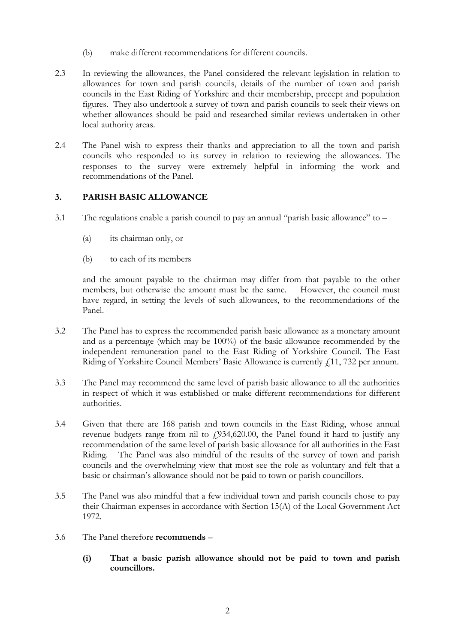- (b) make different recommendations for different councils.
- 2.3 In reviewing the allowances, the Panel considered the relevant legislation in relation to allowances for town and parish councils, details of the number of town and parish councils in the East Riding of Yorkshire and their membership, precept and population figures. They also undertook a survey of town and parish councils to seek their views on whether allowances should be paid and researched similar reviews undertaken in other local authority areas.
- 2.4 The Panel wish to express their thanks and appreciation to all the town and parish councils who responded to its survey in relation to reviewing the allowances. The responses to the survey were extremely helpful in informing the work and recommendations of the Panel.

# 3. PARISH BASIC ALLOWANCE

- 3.1 The regulations enable a parish council to pay an annual "parish basic allowance" to
	- (a) its chairman only, or
	- (b) to each of its members

 and the amount payable to the chairman may differ from that payable to the other members, but otherwise the amount must be the same. However, the council must have regard, in setting the levels of such allowances, to the recommendations of the Panel.

- 3.2 The Panel has to express the recommended parish basic allowance as a monetary amount and as a percentage (which may be 100%) of the basic allowance recommended by the independent remuneration panel to the East Riding of Yorkshire Council. The East Riding of Yorkshire Council Members' Basic Allowance is currently  $\ell$ 11, 732 per annum.
- 3.3 The Panel may recommend the same level of parish basic allowance to all the authorities in respect of which it was established or make different recommendations for different authorities.
- 3.4 Given that there are 168 parish and town councils in the East Riding, whose annual revenue budgets range from nil to  $f$ 934,620.00, the Panel found it hard to justify any recommendation of the same level of parish basic allowance for all authorities in the East Riding. The Panel was also mindful of the results of the survey of town and parish councils and the overwhelming view that most see the role as voluntary and felt that a basic or chairman's allowance should not be paid to town or parish councillors.
- 3.5 The Panel was also mindful that a few individual town and parish councils chose to pay their Chairman expenses in accordance with Section 15(A) of the Local Government Act 1972.
- 3.6 The Panel therefore recommends
	- (i) That a basic parish allowance should not be paid to town and parish councillors.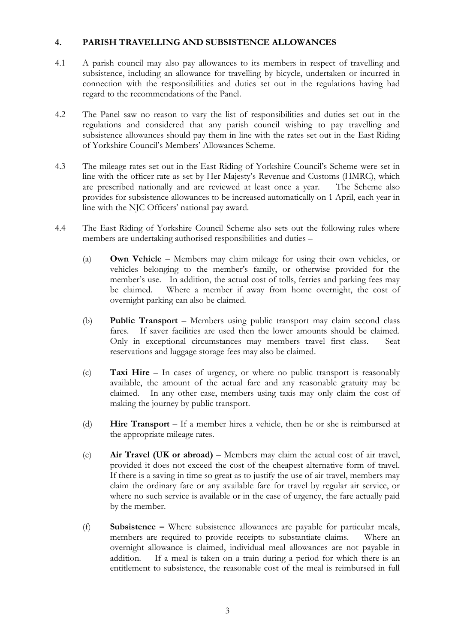#### 4. PARISH TRAVELLING AND SUBSISTENCE ALLOWANCES

- 4.1 A parish council may also pay allowances to its members in respect of travelling and subsistence, including an allowance for travelling by bicycle, undertaken or incurred in connection with the responsibilities and duties set out in the regulations having had regard to the recommendations of the Panel.
- 4.2 The Panel saw no reason to vary the list of responsibilities and duties set out in the regulations and considered that any parish council wishing to pay travelling and subsistence allowances should pay them in line with the rates set out in the East Riding of Yorkshire Council's Members' Allowances Scheme.
- 4.3 The mileage rates set out in the East Riding of Yorkshire Council's Scheme were set in line with the officer rate as set by Her Majesty's Revenue and Customs (HMRC), which are prescribed nationally and are reviewed at least once a year. The Scheme also provides for subsistence allowances to be increased automatically on 1 April, each year in line with the NJC Officers' national pay award.
- 4.4 The East Riding of Yorkshire Council Scheme also sets out the following rules where members are undertaking authorised responsibilities and duties –
	- (a) Own Vehicle Members may claim mileage for using their own vehicles, or vehicles belonging to the member's family, or otherwise provided for the member's use. In addition, the actual cost of tolls, ferries and parking fees may be claimed. Where a member if away from home overnight, the cost of overnight parking can also be claimed.
	- (b) Public Transport Members using public transport may claim second class fares. If saver facilities are used then the lower amounts should be claimed. Only in exceptional circumstances may members travel first class. Seat reservations and luggage storage fees may also be claimed.
	- (c) Taxi Hire In cases of urgency, or where no public transport is reasonably available, the amount of the actual fare and any reasonable gratuity may be claimed. In any other case, members using taxis may only claim the cost of making the journey by public transport.
	- (d) Hire Transport If a member hires a vehicle, then he or she is reimbursed at the appropriate mileage rates.
	- (e) Air Travel (UK or abroad) Members may claim the actual cost of air travel, provided it does not exceed the cost of the cheapest alternative form of travel. If there is a saving in time so great as to justify the use of air travel, members may claim the ordinary fare or any available fare for travel by regular air service, or where no such service is available or in the case of urgency, the fare actually paid by the member.
	- (f) Subsistence Where subsistence allowances are payable for particular meals, members are required to provide receipts to substantiate claims. Where an overnight allowance is claimed, individual meal allowances are not payable in addition. If a meal is taken on a train during a period for which there is an entitlement to subsistence, the reasonable cost of the meal is reimbursed in full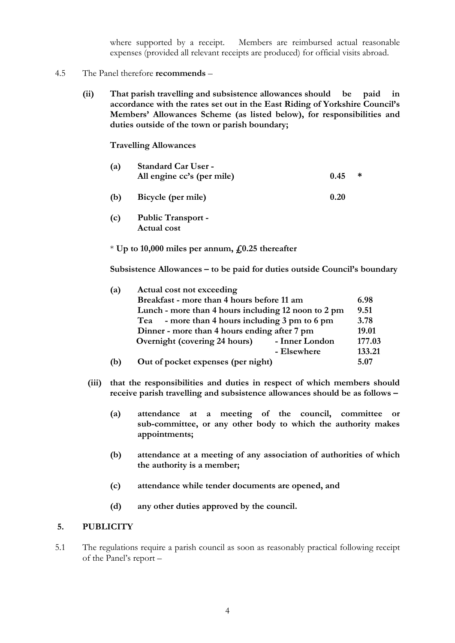where supported by a receipt. Members are reimbursed actual reasonable expenses (provided all relevant receipts are produced) for official visits abroad.

- 4.5 The Panel therefore recommends
	- (ii) That parish travelling and subsistence allowances should be paid in accordance with the rates set out in the East Riding of Yorkshire Council's Members' Allowances Scheme (as listed below), for responsibilities and duties outside of the town or parish boundary;

Travelling Allowances

| (a) | <b>Standard Car User -</b><br>All engine cc's (per mile) | 0.45 | ∗ |
|-----|----------------------------------------------------------|------|---|
| (b) | Bicycle (per mile)                                       | 0.20 |   |
| (c) | <b>Public Transport -</b><br>Actual cost                 |      |   |

 $*$  Up to 10,000 miles per annum,  $\text{\emph{f}}(0.25)$  thereafter

Subsistence Allowances – to be paid for duties outside Council's boundary

| (a)                                          | Actual cost not exceeding                           |                |        |
|----------------------------------------------|-----------------------------------------------------|----------------|--------|
|                                              | Breakfast - more than 4 hours before 11 am          |                | 6.98   |
|                                              | Lunch - more than 4 hours including 12 noon to 2 pm |                | 9.51   |
|                                              | - more than 4 hours including 3 pm to 6 pm<br>Tea   |                | 3.78   |
| Dinner - more than 4 hours ending after 7 pm |                                                     |                | 19.01  |
|                                              | Overnight (covering 24 hours)                       | - Inner London | 177.03 |
|                                              |                                                     | - Elsewhere    | 133.21 |
| (b)                                          | Out of pocket expenses (per night)                  |                | 5.07   |

- (iii) that the responsibilities and duties in respect of which members should receive parish travelling and subsistence allowances should be as follows –
	- (a) attendance at a meeting of the council, committee or sub-committee, or any other body to which the authority makes appointments;
	- (b) attendance at a meeting of any association of authorities of which the authority is a member;
	- (c) attendance while tender documents are opened, and
	- (d) any other duties approved by the council.

#### 5. PUBLICITY

5.1 The regulations require a parish council as soon as reasonably practical following receipt of the Panel's report –